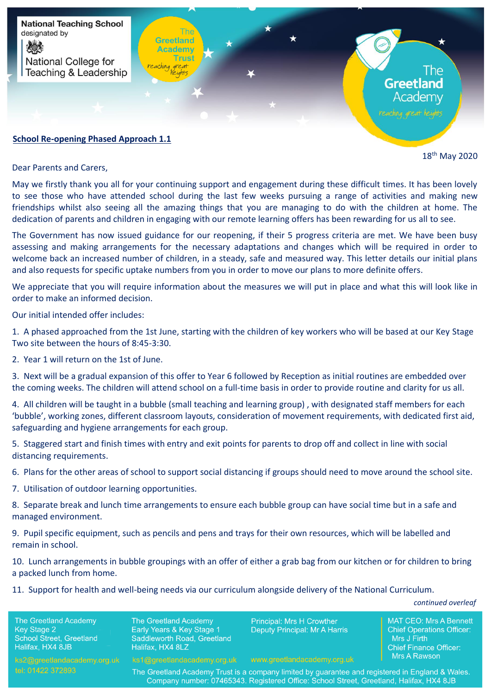

## **School Re-opening Phased Approach 1.1**

18th May 2020

Dear Parents and Carers,

May we firstly thank you all for your continuing support and engagement during these difficult times. It has been lovely to see those who have attended school during the last few weeks pursuing a range of activities and making new friendships whilst also seeing all the amazing things that you are managing to do with the children at home. The dedication of parents and children in engaging with our remote learning offers has been rewarding for us all to see.

The Government has now issued guidance for our reopening, if their 5 progress criteria are met. We have been busy assessing and making arrangements for the necessary adaptations and changes which will be required in order to welcome back an increased number of children, in a steady, safe and measured way. This letter details our initial plans and also requests for specific uptake numbers from you in order to move our plans to more definite offers.

We appreciate that you will require information about the measures we will put in place and what this will look like in order to make an informed decision.

Our initial intended offer includes:

1. A phased approached from the 1st June, starting with the children of key workers who will be based at our Key Stage Two site between the hours of 8:45-3:30.

2. Year 1 will return on the 1st of June.

3. Next will be a gradual expansion of this offer to Year 6 followed by Reception as initial routines are embedded over the coming weeks. The children will attend school on a full-time basis in order to provide routine and clarity for us all.

4. All children will be taught in a bubble (small teaching and learning group) , with designated staff members for each 'bubble', working zones, different classroom layouts, consideration of movement requirements, with dedicated first aid, safeguarding and hygiene arrangements for each group.

5. Staggered start and finish times with entry and exit points for parents to drop off and collect in line with social distancing requirements.

6. Plans for the other areas of school to support social distancing if groups should need to move around the school site.

7. Utilisation of outdoor learning opportunities.

8. Separate break and lunch time arrangements to ensure each bubble group can have social time but in a safe and managed environment.

9. Pupil specific equipment, such as pencils and pens and trays for their own resources, which will be labelled and remain in school.

10. Lunch arrangements in bubble groupings with an offer of either a grab bag from our kitchen or for children to bring a packed lunch from home.

11. Support for health and well-being needs via our curriculum alongside delivery of the National Curriculum.

*continued overleaf*

The Greetland Academy **Key Stage 2** School Street, Greetland Halifax, HX4 8JB

The Greetland Academy Early Years & Key Stage 1 Saddleworth Road, Greetland Halifax, HX4 8LZ

**Principal: Mrs H Crowther Deputy Principal: Mr A Harris**  MAT CEO: Mrs A Bennett **Chief Operations Officer:** Mrs J Firth **Chief Finance Officer:** Mrs A Rawson

The Greetland Academy Trust is a company limited by guarantee and registered in England & Wales. Company number: 07465343. Registered Office: School Street, Greetland, Halifax, HX4 8JB